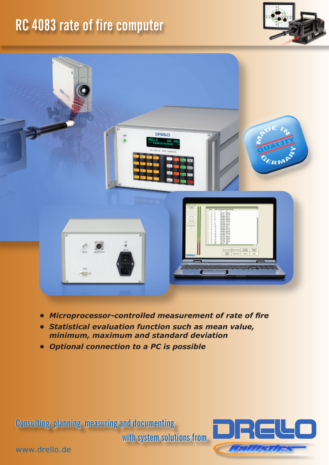## **RC 4083 rate of fire computer**





- *• Microprocessor-controlled measurement of rate of fire*
- *• Statistical evaluation function such as mean value, minimum, maximum and standard deviation*
- *• Optional connection to a PC is possible*

**Consulting, planning, measuring and documenting** 

**with system solutions from**



www.drello.de